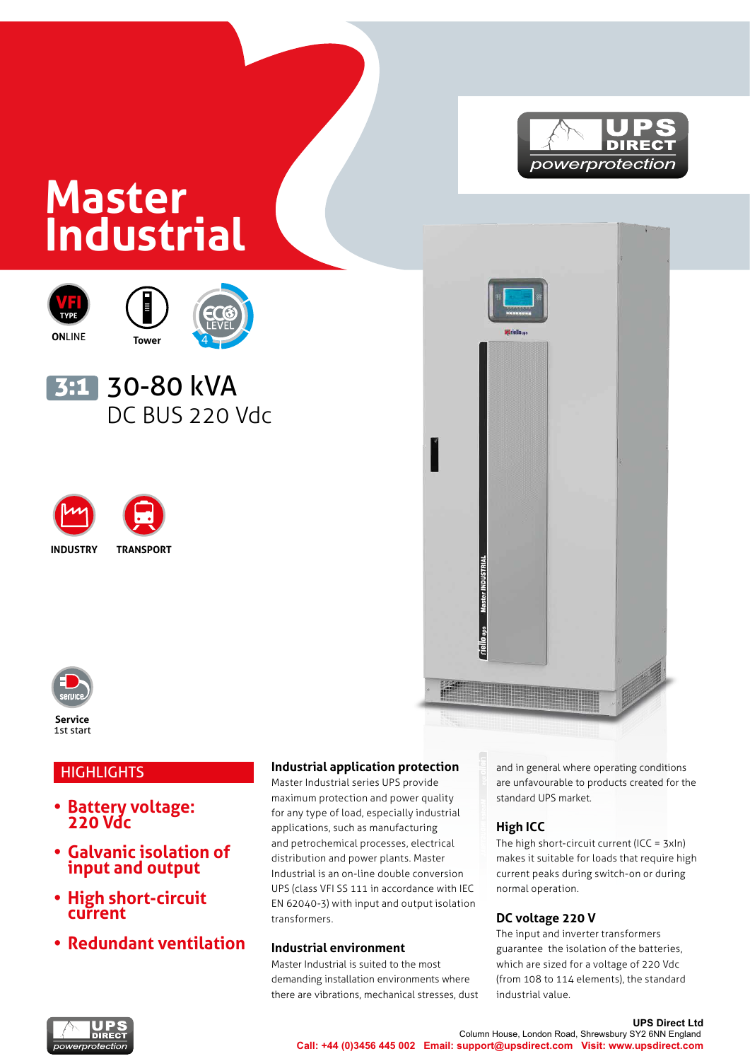# powerprotection

## **Master Industrial**







### <mark>3:1</mark> 30-80 kVA DC BUS 220 Vdc





**INDUSTRY TRANSPORT**



**Service** 1st start

#### **HIGHLIGHTS**

- **• Battery voltage: 220 Vdc**
- **• Galvanic isolation of input and output**
- **• High short-circuit current**
- **• Redundant ventilation**

#### **Industrial application protection**

Master Industrial series UPS provide maximum protection and power quality for any type of load, especially industrial applications, such as manufacturing and petrochemical processes, electrical distribution and power plants. Master Industrial is an on-line double conversion UPS (class VFI SS 111 in accordance with IEC EN 62040-3) with input and output isolation transformers.

#### **Industrial environment**

Master Industrial is suited to the most demanding installation environments where there are vibrations, mechanical stresses, dust

and in general where operating conditions are unfavourable to products created for the standard UPS market.

#### **High ICC**

riello<sub>us</sub>

The high short-circuit current (ICC = 3xIn) makes it suitable for loads that require high current peaks during switch-on or during normal operation.

#### **DC voltage 220 V**

The input and inverter transformers guarantee the isolation of the batteries, which are sized for a voltage of 220 Vdc (from 108 to 114 elements), the standard industrial value.